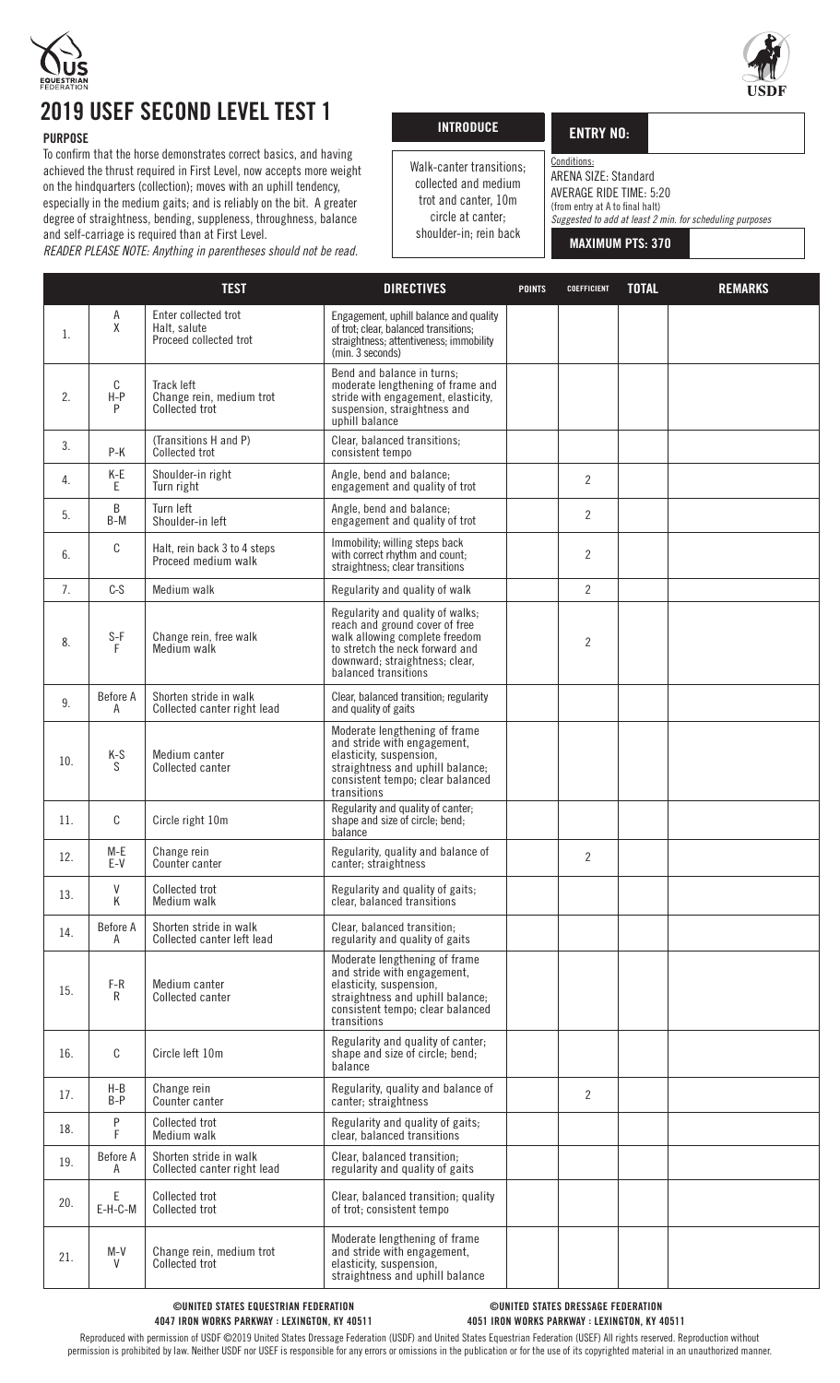

# 2019 USEF SECOND LEVEL TEST 1

### **PURPOSE**

To confirm that the horse demonstrates correct basics, and having achieved the thrust required in First Level, now accepts more weight on the hindquarters (collection); moves with an uphill tendency, especially in the medium gaits; and is reliably on the bit. A greater degree of straightness, bending, suppleness, throughness, balance and self-carriage is required than at First Level. *READER PLEASE NOTE: Anything in parentheses should not be read.*

| <b>INTRODUCE</b> |  |
|------------------|--|
|                  |  |
|                  |  |

-<br>Г

### ENTRY NO:

Conditions: ARENA SIZE: Standard Walk-canter transitions; collected and medium trot and canter, 10m circle at canter;

AVERAGE RIDE TIME: 5:20

(from entry at A to final halt) *Suggested to add at least 2 min. for scheduling purposes*

shoulder-in; rein back

MAXIMUM PTS: 370

|     |                     | <b>TEST</b>                                                    | <b>DIRECTIVES</b>                                                                                                                                                                                 | <b>POINTS</b> | <b>COEFFICIENT</b> | <b>TOTAL</b> | <b>REMARKS</b> |
|-----|---------------------|----------------------------------------------------------------|---------------------------------------------------------------------------------------------------------------------------------------------------------------------------------------------------|---------------|--------------------|--------------|----------------|
| 1.  | $\overline{A}$<br>Χ | Enter collected trot<br>Halt, salute<br>Proceed collected trot | Engagement, uphill balance and quality<br>of trot; clear, balanced transitions;<br>straightness; attentiveness; immobility<br>(min. 3 seconds)                                                    |               |                    |              |                |
| 2.  | C<br>$H-P$<br>P     | Track left<br>Change rein, medium trot<br>Collected trot       | Bend and balance in turns;<br>moderate lengthening of frame and<br>stride with engagement, elasticity,<br>suspension, straightness and<br>uphill balance                                          |               |                    |              |                |
| 3.  | P-K                 | (Transitions H and P)<br>Collected trot                        | Clear, balanced transitions;<br>consistent tempo                                                                                                                                                  |               |                    |              |                |
| 4.  | K-E<br>E            | Shoulder-in right<br>Turn right                                | Angle, bend and balance;<br>engagement and quality of trot                                                                                                                                        |               | $\overline{2}$     |              |                |
| 5.  | B<br>B-M            | Turn left<br>Shoulder-in left                                  | Angle, bend and balance;<br>engagement and quality of trot                                                                                                                                        |               | $\overline{2}$     |              |                |
| 6.  | C                   | Halt, rein back 3 to 4 steps<br>Proceed medium walk            | Immobility; willing steps back<br>with correct rhythm and count;<br>straightness; clear transitions                                                                                               |               | $\overline{2}$     |              |                |
| 7.  | $C-S$               | Medium walk                                                    | Regularity and quality of walk                                                                                                                                                                    |               | $\overline{2}$     |              |                |
| 8.  | $S-F$<br>F          | Change rein, free walk<br>Medium walk                          | Regularity and quality of walks;<br>reach and ground cover of free<br>walk allowing complete freedom<br>to stretch the neck forward and<br>downward; straightness; clear,<br>balanced transitions |               | $\overline{2}$     |              |                |
| 9.  | Before A<br>A       | Shorten stride in walk<br>Collected canter right lead          | Clear, balanced transition; regularity<br>and quality of gaits                                                                                                                                    |               |                    |              |                |
| 10. | $K-S$<br>S.         | Medium canter<br>Collected canter                              | Moderate lengthening of frame<br>and stride with engagement,<br>elasticity, suspension,<br>straightness and uphill balance;<br>consistent tempo; clear balanced<br>transitions                    |               |                    |              |                |
| 11. | C                   | Circle right 10m                                               | Regularity and quality of canter;<br>shape and size of circle; bend;<br>balance                                                                                                                   |               |                    |              |                |
| 12. | M-E<br>$E-V$        | Change rein<br>Counter canter                                  | Regularity, quality and balance of<br>canter; straightness                                                                                                                                        |               | $\overline{2}$     |              |                |
| 13. | V<br>Κ              | Collected trot<br>Medium walk                                  | Regularity and quality of gaits;<br>clear, balanced transitions                                                                                                                                   |               |                    |              |                |
| 14. | Before A<br>A       | Shorten stride in walk<br>Collected canter left lead           | Clear, balanced transition;<br>regularity and quality of gaits                                                                                                                                    |               |                    |              |                |
| 15. | $F-R$<br>R          | Medium canter<br>Collected canter                              | Moderate lengthening of frame<br>and stride with engagement,<br>elasticity, suspension,<br>straightness and uphill balance;<br>consistent tempo; clear balanced<br>transitions                    |               |                    |              |                |
| 16. | C                   | Circle left 10m                                                | Regularity and quality of canter;<br>shape and size of circle; bend;<br>balance                                                                                                                   |               |                    |              |                |
| 17. | $H-B$<br>$B-P$      | Change rein<br>Counter canter                                  | Regularity, quality and balance of<br>canter; straightness                                                                                                                                        |               | $\overline{2}$     |              |                |
| 18. | P<br>F              | Collected trot<br>Medium walk                                  | Regularity and quality of gaits;<br>clear, balanced transitions                                                                                                                                   |               |                    |              |                |
| 19. | Before A<br>A       | Shorten stride in walk<br>Collected canter right lead          | Clear, balanced transition;<br>regularity and quality of gaits                                                                                                                                    |               |                    |              |                |
| 20. | Ε<br>E-H-C-M        | Collected trot<br>Collected trot                               | Clear, balanced transition; quality<br>of trot; consistent tempo                                                                                                                                  |               |                    |              |                |
| 21. | $M-N$<br>V          | Change rein, medium trot<br>Collected trot                     | Moderate lengthening of frame<br>and stride with engagement,<br>elasticity, suspension,<br>straightness and uphill balance                                                                        |               |                    |              |                |



#### ©UNITED STATES DRESSAGE FEDERATION 4051 IRON WORKS PARKWAY : LEXINGTON, KY 40511

Reproduced with permission of USDF ©2019 United States Dressage Federation (USDF) and United States Equestrian Federation (USEF) All rights reserved. Reproduction without permission is prohibited by law. Neither USDF nor USEF is responsible for any errors or omissions in the publication or for the use of its copyrighted material in an unauthorized manner.